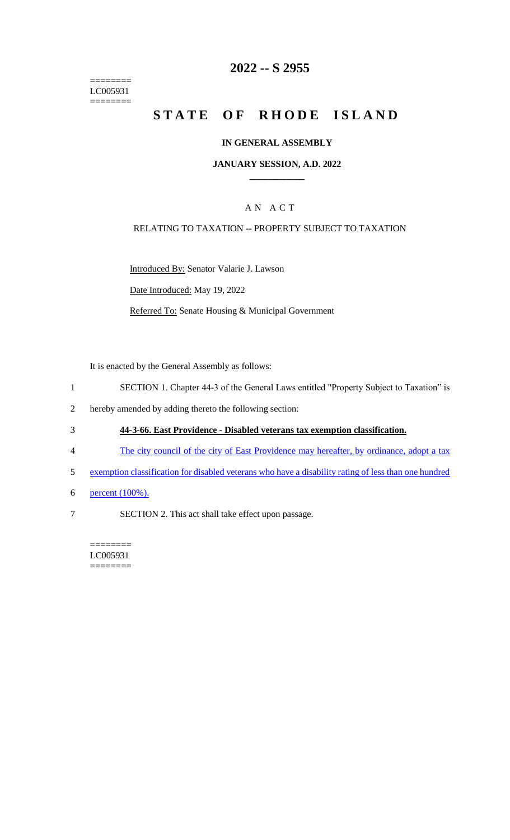======== LC005931  $=$ 

# **2022 -- S 2955**

# **STATE OF RHODE ISLAND**

#### **IN GENERAL ASSEMBLY**

#### **JANUARY SESSION, A.D. 2022 \_\_\_\_\_\_\_\_\_\_\_\_**

### A N A C T

#### RELATING TO TAXATION -- PROPERTY SUBJECT TO TAXATION

Introduced By: Senator Valarie J. Lawson

Date Introduced: May 19, 2022

Referred To: Senate Housing & Municipal Government

It is enacted by the General Assembly as follows:

- 1 SECTION 1. Chapter 44-3 of the General Laws entitled "Property Subject to Taxation" is
- 2 hereby amended by adding thereto the following section:
- 3 **44-3-66. East Providence - Disabled veterans tax exemption classification.**
- 4 The city council of the city of East Providence may hereafter, by ordinance, adopt a tax
- 5 exemption classification for disabled veterans who have a disability rating of less than one hundred
- 6 percent (100%).
- 7 SECTION 2. This act shall take effect upon passage.

======== LC005931 ========